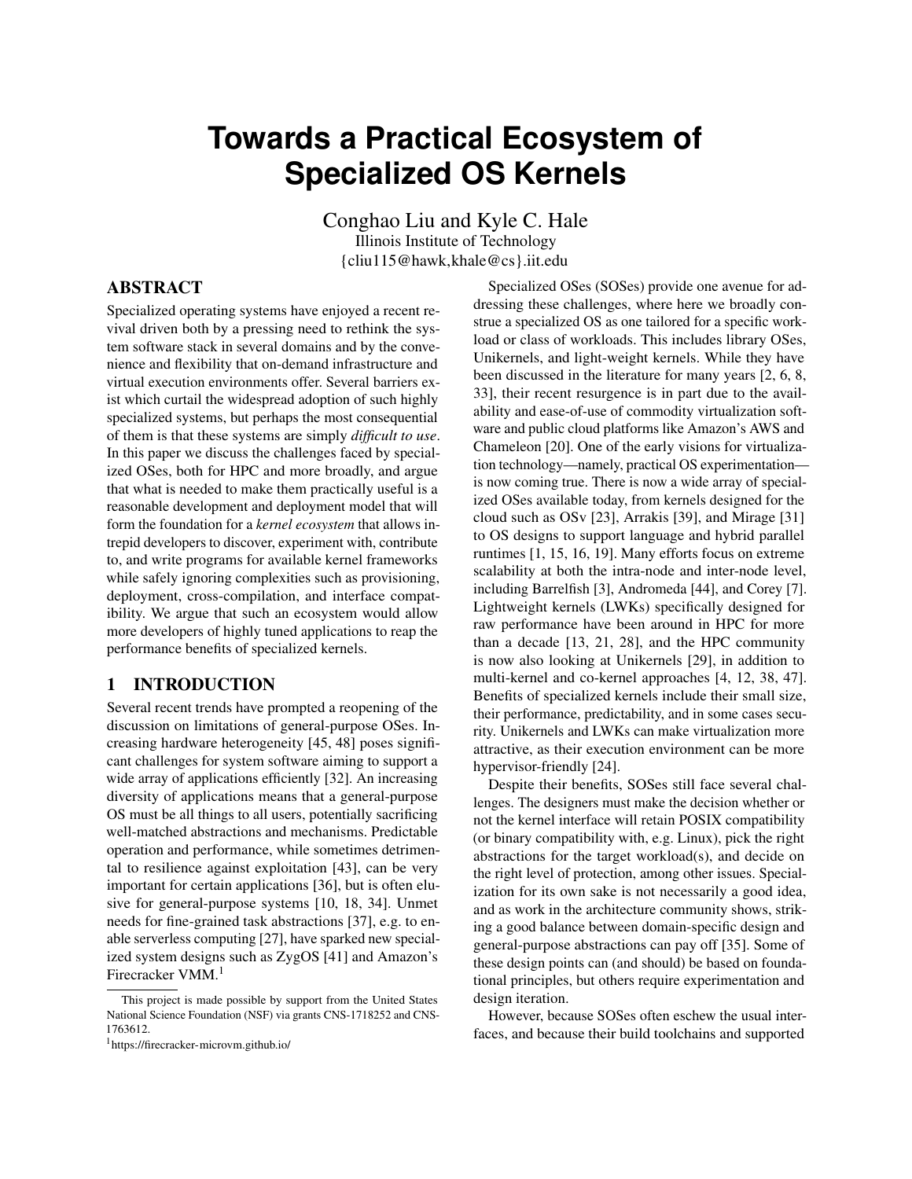# **Towards a Practical Ecosystem of Specialized OS Kernels**

Conghao Liu and Kyle C. Hale Illinois Institute of Technology {cliu115@hawk,khale@cs}.iit.edu

# ABSTRACT

Specialized operating systems have enjoyed a recent revival driven both by a pressing need to rethink the system software stack in several domains and by the convenience and flexibility that on-demand infrastructure and virtual execution environments offer. Several barriers exist which curtail the widespread adoption of such highly specialized systems, but perhaps the most consequential of them is that these systems are simply *difficult to use*. In this paper we discuss the challenges faced by specialized OSes, both for HPC and more broadly, and argue that what is needed to make them practically useful is a reasonable development and deployment model that will form the foundation for a *kernel ecosystem* that allows intrepid developers to discover, experiment with, contribute to, and write programs for available kernel frameworks while safely ignoring complexities such as provisioning, deployment, cross-compilation, and interface compatibility. We argue that such an ecosystem would allow more developers of highly tuned applications to reap the performance benefits of specialized kernels.

## 1 INTRODUCTION

Several recent trends have prompted a reopening of the discussion on limitations of general-purpose OSes. Increasing hardware heterogeneity [\[45,](#page-7-0) [48\]](#page-7-1) poses significant challenges for system software aiming to support a wide array of applications efficiently [\[32\]](#page-7-2). An increasing diversity of applications means that a general-purpose OS must be all things to all users, potentially sacrificing well-matched abstractions and mechanisms. Predictable operation and performance, while sometimes detrimental to resilience against exploitation [\[43\]](#page-7-3), can be very important for certain applications [\[36\]](#page-7-4), but is often elusive for general-purpose systems [\[10,](#page-6-0) [18,](#page-6-1) [34\]](#page-7-5). Unmet needs for fine-grained task abstractions [\[37\]](#page-7-6), e.g. to enable serverless computing [\[27\]](#page-6-2), have sparked new specialized system designs such as ZygOS [\[41\]](#page-7-7) and Amazon's Firecracker VMM.<sup>[1](#page-0-0)</sup>

Specialized OSes (SOSes) provide one avenue for addressing these challenges, where here we broadly construe a specialized OS as one tailored for a specific workload or class of workloads. This includes library OSes, Unikernels, and light-weight kernels. While they have been discussed in the literature for many years [\[2,](#page-6-3) [6,](#page-6-4) [8,](#page-6-5) [33\]](#page-7-8), their recent resurgence is in part due to the availability and ease-of-use of commodity virtualization software and public cloud platforms like Amazon's AWS and Chameleon [\[20\]](#page-6-6). One of the early visions for virtualization technology—namely, practical OS experimentation is now coming true. There is now a wide array of specialized OSes available today, from kernels designed for the cloud such as OSv [\[23\]](#page-6-7), Arrakis [\[39\]](#page-7-9), and Mirage [\[31\]](#page-7-10) to OS designs to support language and hybrid parallel runtimes [\[1,](#page-6-8) [15,](#page-6-9) [16,](#page-6-10) [19\]](#page-6-11). Many efforts focus on extreme scalability at both the intra-node and inter-node level, including Barrelfish [\[3\]](#page-6-12), Andromeda [\[44\]](#page-7-11), and Corey [\[7\]](#page-6-13). Lightweight kernels (LWKs) specifically designed for raw performance have been around in HPC for more than a decade [\[13,](#page-6-14) [21,](#page-6-15) [28\]](#page-7-12), and the HPC community is now also looking at Unikernels [\[29\]](#page-7-13), in addition to multi-kernel and co-kernel approaches [\[4,](#page-6-16) [12,](#page-6-17) [38,](#page-7-14) [47\]](#page-7-15). Benefits of specialized kernels include their small size, their performance, predictability, and in some cases security. Unikernels and LWKs can make virtualization more attractive, as their execution environment can be more hypervisor-friendly [\[24\]](#page-6-18).

Despite their benefits, SOSes still face several challenges. The designers must make the decision whether or not the kernel interface will retain POSIX compatibility (or binary compatibility with, e.g. Linux), pick the right abstractions for the target workload(s), and decide on the right level of protection, among other issues. Specialization for its own sake is not necessarily a good idea, and as work in the architecture community shows, striking a good balance between domain-specific design and general-purpose abstractions can pay off [\[35\]](#page-7-16). Some of these design points can (and should) be based on foundational principles, but others require experimentation and design iteration.

However, because SOSes often eschew the usual interfaces, and because their build toolchains and supported

This project is made possible by support from the United States National Science Foundation (NSF) via grants CNS-1718252 and CNS-1763612.

<span id="page-0-0"></span><sup>1</sup><https://firecracker-microvm.github.io/>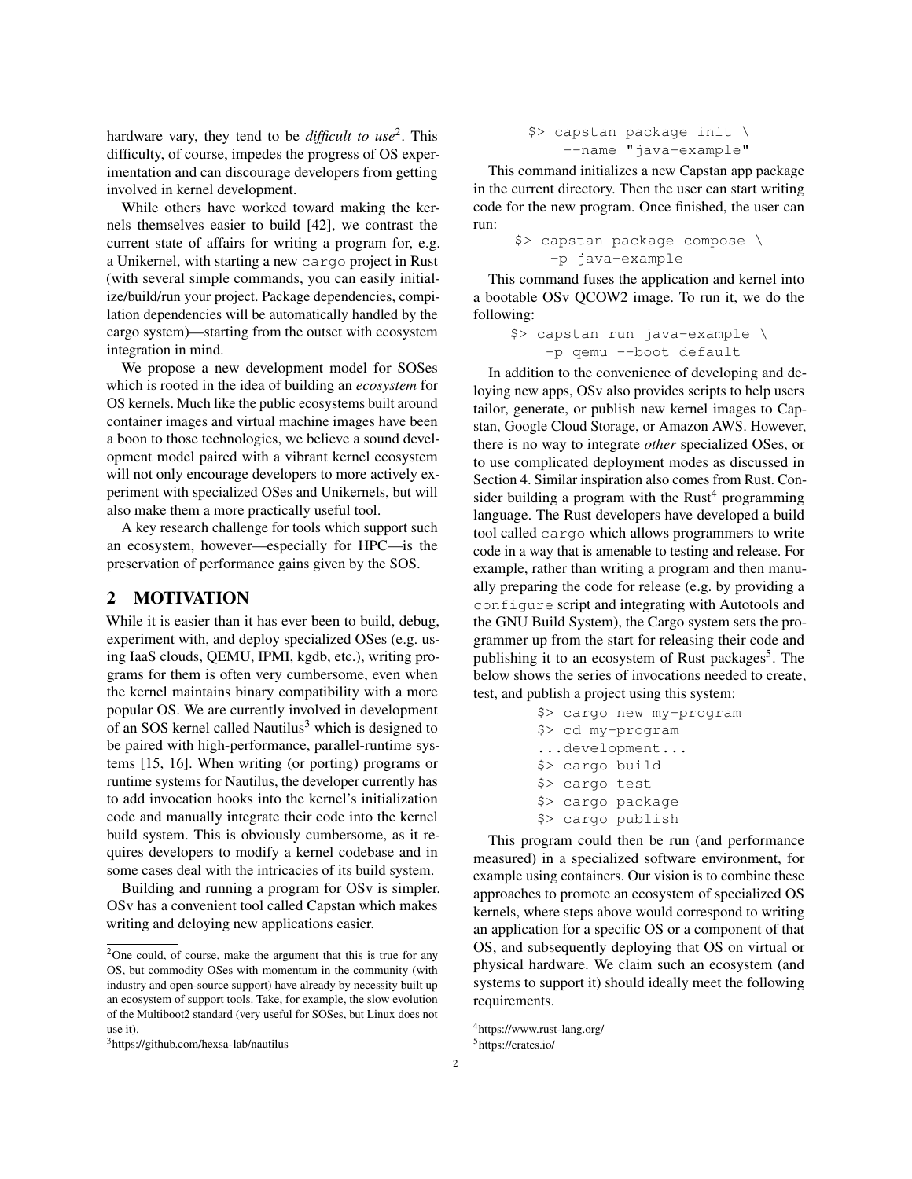hardware vary, they tend to be *difficult to use*[2](#page-1-0) . This difficulty, of course, impedes the progress of OS experimentation and can discourage developers from getting involved in kernel development.

While others have worked toward making the kernels themselves easier to build [\[42\]](#page-7-17), we contrast the current state of affairs for writing a program for, e.g. a Unikernel, with starting a new cargo project in Rust (with several simple commands, you can easily initialize/build/run your project. Package dependencies, compilation dependencies will be automatically handled by the cargo system)—starting from the outset with ecosystem integration in mind.

We propose a new development model for SOSes which is rooted in the idea of building an *ecosystem* for OS kernels. Much like the public ecosystems built around container images and virtual machine images have been a boon to those technologies, we believe a sound development model paired with a vibrant kernel ecosystem will not only encourage developers to more actively experiment with specialized OSes and Unikernels, but will also make them a more practically useful tool.

A key research challenge for tools which support such an ecosystem, however—especially for HPC—is the preservation of performance gains given by the SOS.

## <span id="page-1-4"></span>2 MOTIVATION

While it is easier than it has ever been to build, debug, experiment with, and deploy specialized OSes (e.g. using IaaS clouds, QEMU, IPMI, kgdb, etc.), writing programs for them is often very cumbersome, even when the kernel maintains binary compatibility with a more popular OS. We are currently involved in development of an SOS kernel called Nautilus<sup>[3](#page-1-1)</sup> which is designed to be paired with high-performance, parallel-runtime systems [\[15,](#page-6-9) [16\]](#page-6-10). When writing (or porting) programs or runtime systems for Nautilus, the developer currently has to add invocation hooks into the kernel's initialization code and manually integrate their code into the kernel build system. This is obviously cumbersome, as it requires developers to modify a kernel codebase and in some cases deal with the intricacies of its build system.

Building and running a program for OSv is simpler. OSv has a convenient tool called Capstan which makes writing and deloying new applications easier.

#### \$> capstan package init \ --name "java-example"

This command initializes a new Capstan app package in the current directory. Then the user can start writing code for the new program. Once finished, the user can run:

```
$> capstan package compose \
    -p java-example
```
This command fuses the application and kernel into a bootable OSv QCOW2 image. To run it, we do the following:

```
$> capstan run java-example \
    -p qemu --boot default
```
In addition to the convenience of developing and deloying new apps, OSv also provides scripts to help users tailor, generate, or publish new kernel images to Capstan, Google Cloud Storage, or Amazon AWS. However, there is no way to integrate *other* specialized OSes, or to use complicated deployment modes as discussed in Section [4.](#page-3-0) Similar inspiration also comes from Rust. Con-sider building a program with the Rust<sup>[4](#page-1-2)</sup> programming language. The Rust developers have developed a build tool called cargo which allows programmers to write code in a way that is amenable to testing and release. For example, rather than writing a program and then manually preparing the code for release (e.g. by providing a configure script and integrating with Autotools and the GNU Build System), the Cargo system sets the programmer up from the start for releasing their code and publishing it to an ecosystem of Rust packages<sup>[5](#page-1-3)</sup>. The below shows the series of invocations needed to create, test, and publish a project using this system:

```
$> cargo new my-program
$> cd my-program
...development...
$> cargo build
$> cargo test
$> cargo package
$> cargo publish
```
This program could then be run (and performance measured) in a specialized software environment, for example using containers. Our vision is to combine these approaches to promote an ecosystem of specialized OS kernels, where steps above would correspond to writing an application for a specific OS or a component of that OS, and subsequently deploying that OS on virtual or physical hardware. We claim such an ecosystem (and systems to support it) should ideally meet the following requirements.

<span id="page-1-0"></span><sup>2</sup>One could, of course, make the argument that this is true for any OS, but commodity OSes with momentum in the community (with industry and open-source support) have already by necessity built up an ecosystem of support tools. Take, for example, the slow evolution of the Multiboot2 standard (very useful for SOSes, but Linux does not use it).

<span id="page-1-1"></span><sup>3</sup><https://github.com/hexsa-lab/nautilus>

<span id="page-1-3"></span><span id="page-1-2"></span><sup>4</sup><https://www.rust-lang.org/> <sup>5</sup><https://crates.io/>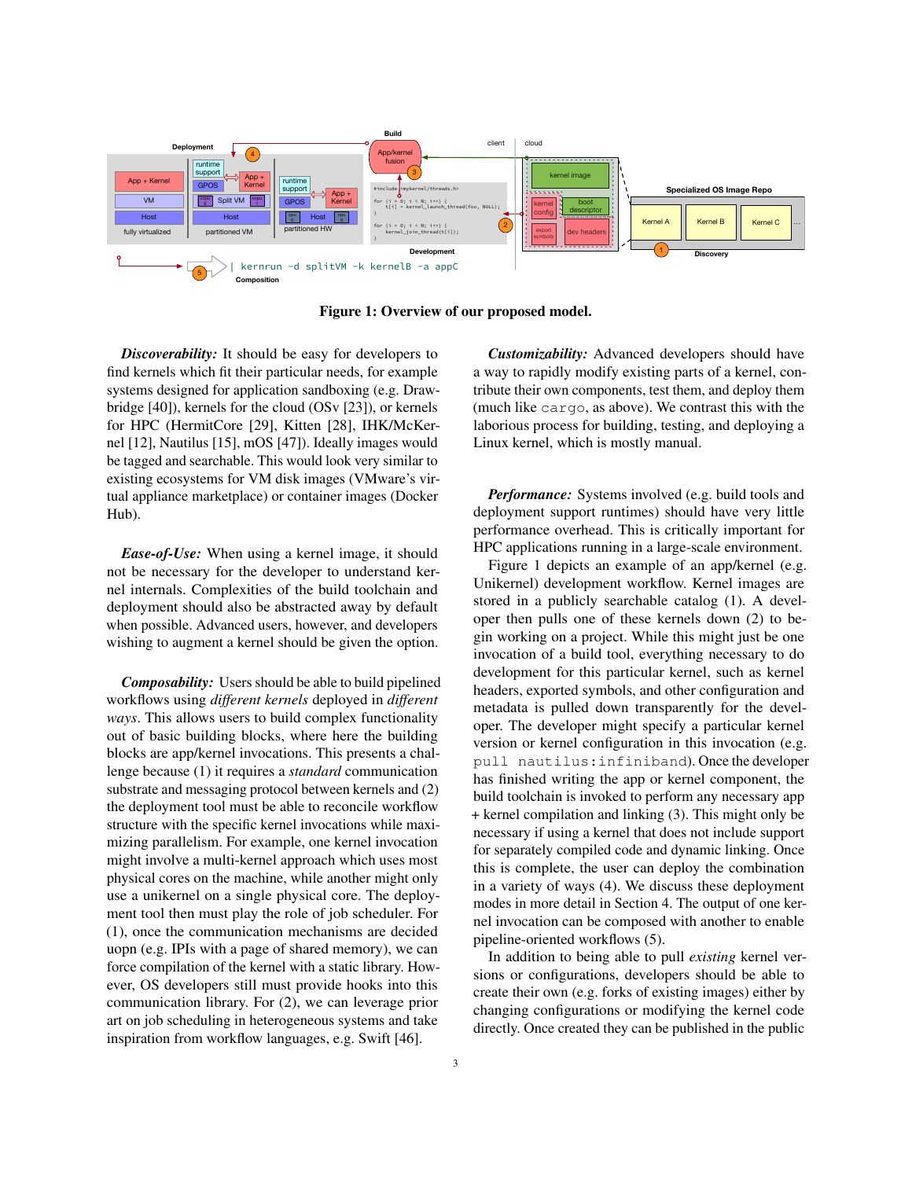<span id="page-2-0"></span>

Figure 1: Overview of our proposed model.

*Discoverability:* It should be easy for developers to find kernels which fit their particular needs, for example systems designed for application sandboxing (e.g. Drawbridge [\[40\]](#page-7-18)), kernels for the cloud (OSv [\[23\]](#page-6-7)), or kernels for HPC (HermitCore [\[29\]](#page-7-13), Kitten [\[28\]](#page-7-12), IHK/McKernel [\[12\]](#page-6-17), Nautilus [\[15\]](#page-6-9), mOS [\[47\]](#page-7-15)). Ideally images would be tagged and searchable. This would look very similar to existing ecosystems for VM disk images (VMware's virtual appliance marketplace) or container images (Docker Hub).

*Ease-of-Use:* When using a kernel image, it should not be necessary for the developer to understand kernel internals. Complexities of the build toolchain and deployment should also be abstracted away by default when possible. Advanced users, however, and developers wishing to augment a kernel should be given the option.

*Composability:* Users should be able to build pipelined workflows using *different kernels* deployed in *different ways*. This allows users to build complex functionality out of basic building blocks, where here the building blocks are app/kernel invocations. This presents a challenge because (1) it requires a *standard* communication substrate and messaging protocol between kernels and (2) the deployment tool must be able to reconcile workflow structure with the specific kernel invocations while maximizing parallelism. For example, one kernel invocation might involve a multi-kernel approach which uses most physical cores on the machine, while another might only use a unikernel on a single physical core. The deployment tool then must play the role of job scheduler. For (1), once the communication mechanisms are decided uopn (e.g. IPIs with a page of shared memory), we can force compilation of the kernel with a static library. However, OS developers still must provide hooks into this communication library. For (2), we can leverage prior art on job scheduling in heterogeneous systems and take inspiration from workflow languages, e.g. Swift [\[46\]](#page-7-19).

*Customizability:* Advanced developers should have a way to rapidly modify existing parts of a kernel, contribute their own components, test them, and deploy them (much like cargo, as above). We contrast this with the laborious process for building, testing, and deploying a Linux kernel, which is mostly manual.

*Performance:* Systems involved (e.g. build tools and deployment support runtimes) should have very little performance overhead. This is critically important for HPC applications running in a large-scale environment.

Figure [1](#page-2-0) depicts an example of an app/kernel (e.g. Unikernel) development workflow. Kernel images are stored in a publicly searchable catalog (1). A developer then pulls one of these kernels down (2) to begin working on a project. While this might just be one invocation of a build tool, everything necessary to do development for this particular kernel, such as kernel headers, exported symbols, and other configuration and metadata is pulled down transparently for the developer. The developer might specify a particular kernel version or kernel configuration in this invocation (e.g. pull nautilus:infiniband). Once the developer has finished writing the app or kernel component, the build toolchain is invoked to perform any necessary app + kernel compilation and linking (3). This might only be necessary if using a kernel that does not include support for separately compiled code and dynamic linking. Once this is complete, the user can deploy the combination in a variety of ways (4). We discuss these deployment modes in more detail in Section [4.](#page-3-0) The output of one kernel invocation can be composed with another to enable pipeline-oriented workflows (5).

In addition to being able to pull *existing* kernel versions or configurations, developers should be able to create their own (e.g. forks of existing images) either by changing configurations or modifying the kernel code directly. Once created they can be published in the public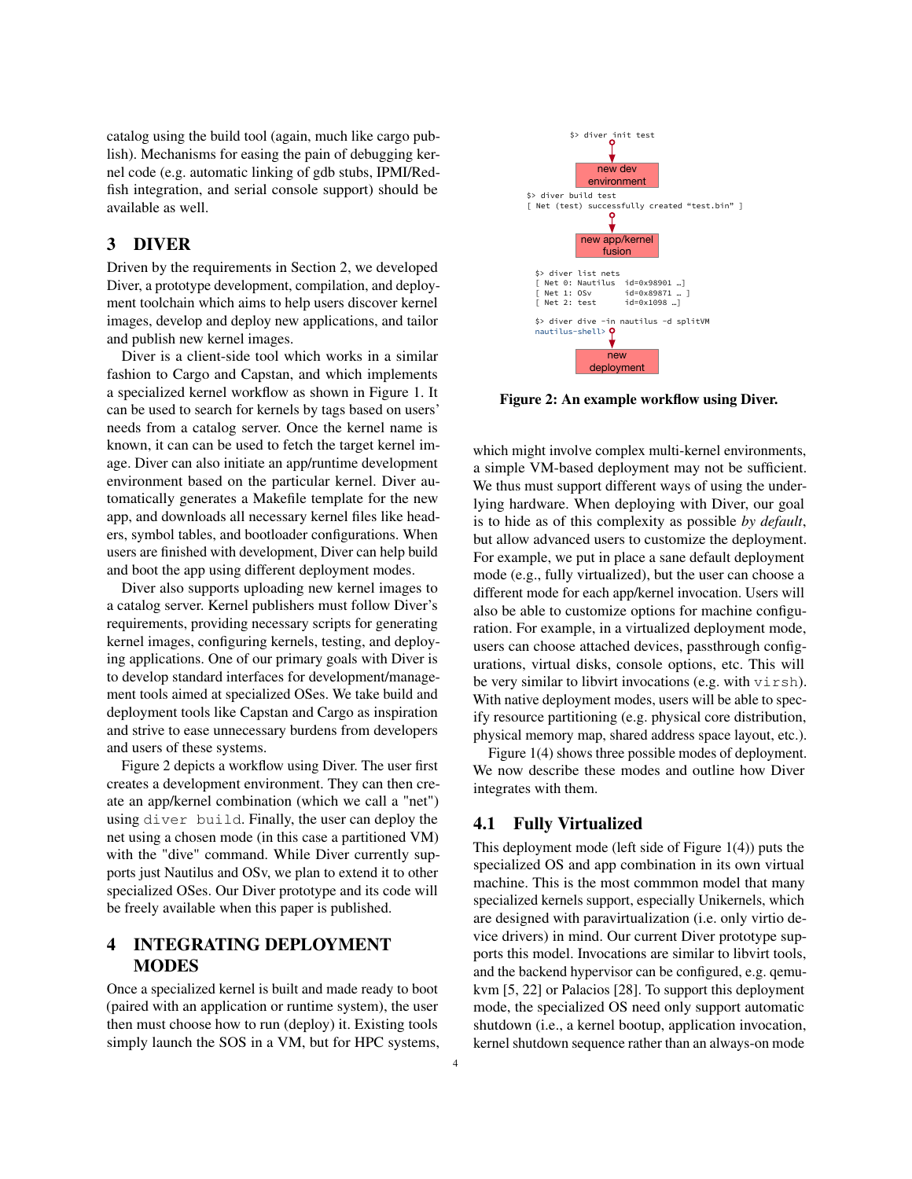catalog using the build tool (again, much like cargo publish). Mechanisms for easing the pain of debugging kernel code (e.g. automatic linking of gdb stubs, IPMI/Redfish integration, and serial console support) should be available as well.

# 3 DIVER

Driven by the requirements in Section [2,](#page-1-4) we developed Diver, a prototype development, compilation, and deployment toolchain which aims to help users discover kernel images, develop and deploy new applications, and tailor and publish new kernel images.

Diver is a client-side tool which works in a similar fashion to Cargo and Capstan, and which implements a specialized kernel workflow as shown in Figure [1.](#page-2-0) It can be used to search for kernels by tags based on users' needs from a catalog server. Once the kernel name is known, it can can be used to fetch the target kernel image. Diver can also initiate an app/runtime development environment based on the particular kernel. Diver automatically generates a Makefile template for the new app, and downloads all necessary kernel files like headers, symbol tables, and bootloader configurations. When users are finished with development, Diver can help build and boot the app using different deployment modes.

Diver also supports uploading new kernel images to a catalog server. Kernel publishers must follow Diver's requirements, providing necessary scripts for generating kernel images, configuring kernels, testing, and deploying applications. One of our primary goals with Diver is to develop standard interfaces for development/management tools aimed at specialized OSes. We take build and deployment tools like Capstan and Cargo as inspiration and strive to ease unnecessary burdens from developers and users of these systems.

Figure [2](#page-3-1) depicts a workflow using Diver. The user first creates a development environment. They can then create an app/kernel combination (which we call a "net") using diver build. Finally, the user can deploy the net using a chosen mode (in this case a partitioned VM) with the "dive" command. While Diver currently supports just Nautilus and OSv, we plan to extend it to other specialized OSes. Our Diver prototype and its code will be freely available when this paper is published.

## <span id="page-3-0"></span>4 INTEGRATING DEPLOYMENT MODES

Once a specialized kernel is built and made ready to boot (paired with an application or runtime system), the user then must choose how to run (deploy) it. Existing tools simply launch the SOS in a VM, but for HPC systems,

<span id="page-3-1"></span>

Figure 2: An example workflow using Diver.

which might involve complex multi-kernel environments, a simple VM-based deployment may not be sufficient. We thus must support different ways of using the underlying hardware. When deploying with Diver, our goal is to hide as of this complexity as possible *by default*, but allow advanced users to customize the deployment. For example, we put in place a sane default deployment mode (e.g., fully virtualized), but the user can choose a different mode for each app/kernel invocation. Users will also be able to customize options for machine configuration. For example, in a virtualized deployment mode, users can choose attached devices, passthrough configurations, virtual disks, console options, etc. This will be very similar to libvirt invocations (e.g. with  $virsh$ ). With native deployment modes, users will be able to specify resource partitioning (e.g. physical core distribution, physical memory map, shared address space layout, etc.).

Figure [1\(](#page-2-0)4) shows three possible modes of deployment. We now describe these modes and outline how Diver integrates with them.

#### 4.1 Fully Virtualized

This deployment mode (left side of Figure [1\(](#page-2-0)4)) puts the specialized OS and app combination in its own virtual machine. This is the most commmon model that many specialized kernels support, especially Unikernels, which are designed with paravirtualization (i.e. only virtio device drivers) in mind. Our current Diver prototype supports this model. Invocations are similar to libvirt tools, and the backend hypervisor can be configured, e.g. qemukvm [\[5,](#page-6-19) [22\]](#page-6-20) or Palacios [\[28\]](#page-7-12). To support this deployment mode, the specialized OS need only support automatic shutdown (i.e., a kernel bootup, application invocation, kernel shutdown sequence rather than an always-on mode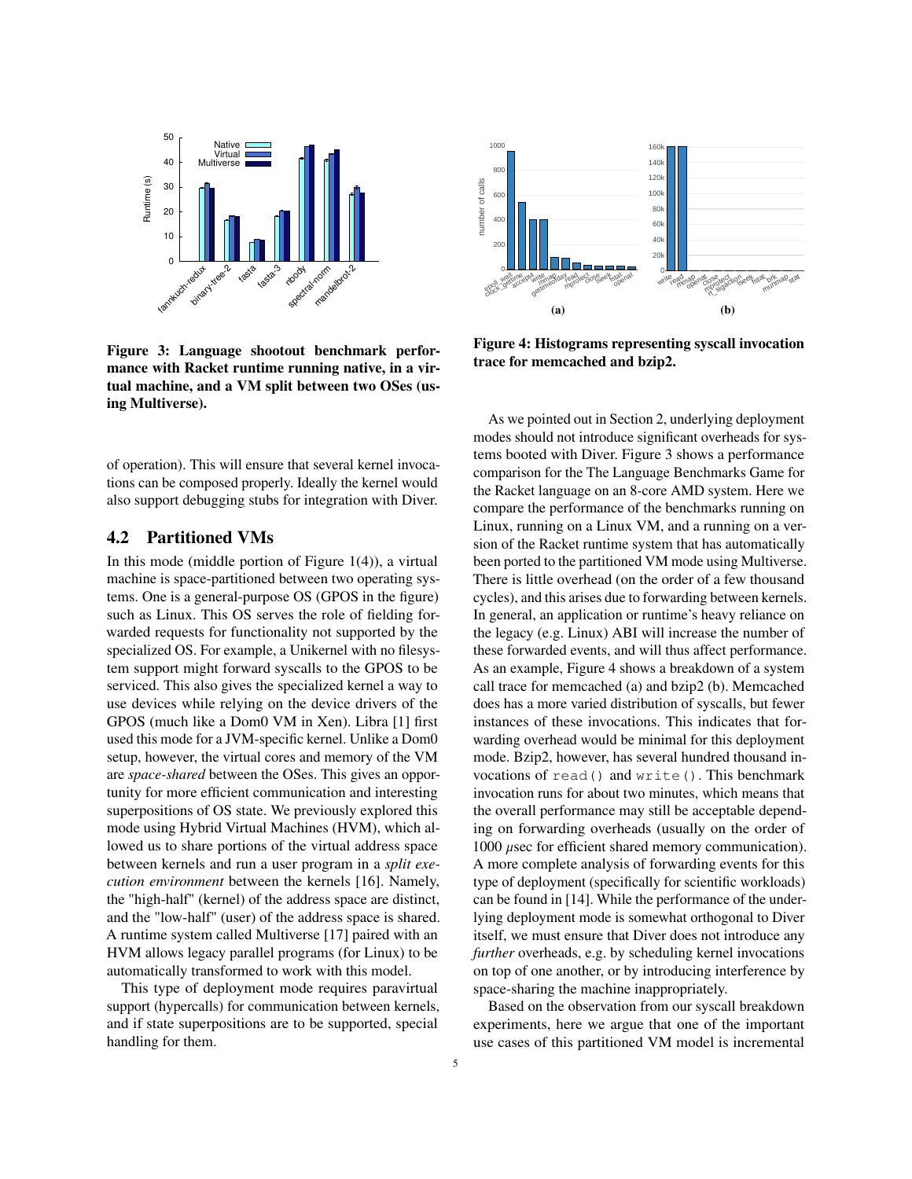<span id="page-4-0"></span>

Figure 3: Language shootout benchmark performance with Racket runtime running native, in a virtual machine, and a VM split between two OSes (using Multiverse).

of operation). This will ensure that several kernel invocations can be composed properly. Ideally the kernel would also support debugging stubs for integration with Diver.

## 4.2 Partitioned VMs

In this mode (middle portion of Figure [1\(](#page-2-0)4)), a virtual machine is space-partitioned between two operating systems. One is a general-purpose OS (GPOS in the figure) such as Linux. This OS serves the role of fielding forwarded requests for functionality not supported by the specialized OS. For example, a Unikernel with no filesystem support might forward syscalls to the GPOS to be serviced. This also gives the specialized kernel a way to use devices while relying on the device drivers of the GPOS (much like a Dom0 VM in Xen). Libra [\[1\]](#page-6-8) first used this mode for a JVM-specific kernel. Unlike a Dom0 setup, however, the virtual cores and memory of the VM are *space-shared* between the OSes. This gives an opportunity for more efficient communication and interesting superpositions of OS state. We previously explored this mode using Hybrid Virtual Machines (HVM), which allowed us to share portions of the virtual address space between kernels and run a user program in a *split execution environment* between the kernels [\[16\]](#page-6-10). Namely, the "high-half" (kernel) of the address space are distinct, and the "low-half" (user) of the address space is shared. A runtime system called Multiverse [\[17\]](#page-6-21) paired with an HVM allows legacy parallel programs (for Linux) to be automatically transformed to work with this model.

This type of deployment mode requires paravirtual support (hypercalls) for communication between kernels, and if state superpositions are to be supported, special handling for them.

<span id="page-4-1"></span>

Figure 4: Histograms representing syscall invocation trace for memcached and bzip2.

As we pointed out in Section [2,](#page-1-4) underlying deployment modes should not introduce significant overheads for systems booted with Diver. Figure [3](#page-4-0) shows a performance comparison for the The Language Benchmarks Game for the Racket language on an 8-core AMD system. Here we compare the performance of the benchmarks running on Linux, running on a Linux VM, and a running on a version of the Racket runtime system that has automatically been ported to the partitioned VM mode using Multiverse. There is little overhead (on the order of a few thousand cycles), and this arises due to forwarding between kernels. In general, an application or runtime's heavy reliance on the legacy (e.g. Linux) ABI will increase the number of these forwarded events, and will thus affect performance. As an example, Figure [4](#page-4-1) shows a breakdown of a system call trace for memcached (a) and bzip2 (b). Memcached does has a more varied distribution of syscalls, but fewer instances of these invocations. This indicates that forwarding overhead would be minimal for this deployment mode. Bzip2, however, has several hundred thousand invocations of read() and write(). This benchmark invocation runs for about two minutes, which means that the overall performance may still be acceptable depending on forwarding overheads (usually on the order of 1000  $\mu$ sec for efficient shared memory communication). A more complete analysis of forwarding events for this type of deployment (specifically for scientific workloads) can be found in [\[14\]](#page-6-22). While the performance of the underlying deployment mode is somewhat orthogonal to Diver itself, we must ensure that Diver does not introduce any *further* overheads, e.g. by scheduling kernel invocations on top of one another, or by introducing interference by space-sharing the machine inappropriately.

Based on the observation from our syscall breakdown experiments, here we argue that one of the important use cases of this partitioned VM model is incremental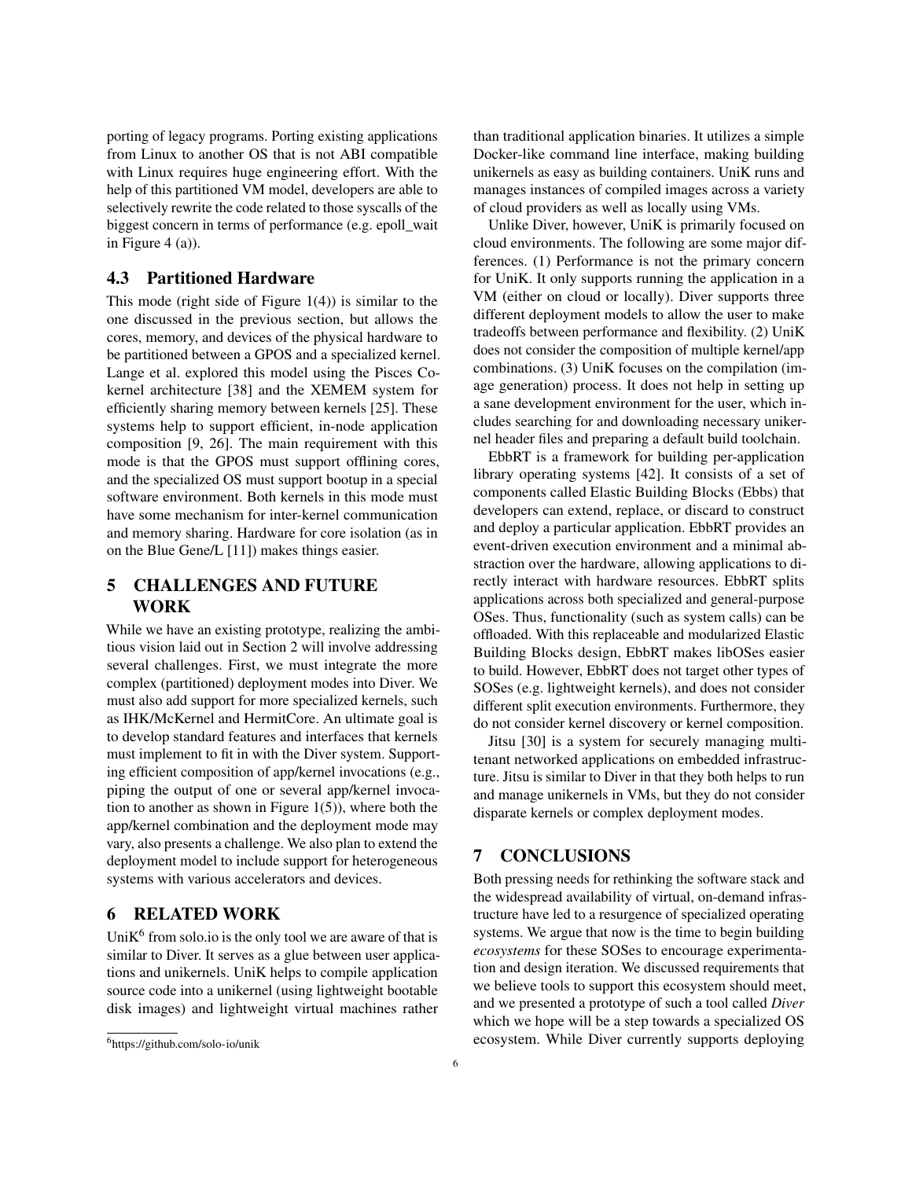porting of legacy programs. Porting existing applications from Linux to another OS that is not ABI compatible with Linux requires huge engineering effort. With the help of this partitioned VM model, developers are able to selectively rewrite the code related to those syscalls of the biggest concern in terms of performance (e.g. epoll\_wait in Figure  $4$  (a)).

# 4.3 Partitioned Hardware

This mode (right side of Figure  $1(4)$ ) is similar to the one discussed in the previous section, but allows the cores, memory, and devices of the physical hardware to be partitioned between a GPOS and a specialized kernel. Lange et al. explored this model using the Pisces Cokernel architecture [\[38\]](#page-7-14) and the XEMEM system for efficiently sharing memory between kernels [\[25\]](#page-6-23). These systems help to support efficient, in-node application composition [\[9,](#page-6-24) [26\]](#page-6-25). The main requirement with this mode is that the GPOS must support offlining cores, and the specialized OS must support bootup in a special software environment. Both kernels in this mode must have some mechanism for inter-kernel communication and memory sharing. Hardware for core isolation (as in on the Blue Gene/L [\[11\]](#page-6-26)) makes things easier.

## 5 CHALLENGES AND FUTURE **WORK**

While we have an existing prototype, realizing the ambitious vision laid out in Section [2](#page-1-4) will involve addressing several challenges. First, we must integrate the more complex (partitioned) deployment modes into Diver. We must also add support for more specialized kernels, such as IHK/McKernel and HermitCore. An ultimate goal is to develop standard features and interfaces that kernels must implement to fit in with the Diver system. Supporting efficient composition of app/kernel invocations (e.g., piping the output of one or several app/kernel invocation to another as shown in Figure  $1(5)$ , where both the app/kernel combination and the deployment mode may vary, also presents a challenge. We also plan to extend the deployment model to include support for heterogeneous systems with various accelerators and devices.

## 6 RELATED WORK

Uni $K^6$  $K^6$  from solo.io is the only tool we are aware of that is similar to Diver. It serves as a glue between user applications and unikernels. UniK helps to compile application source code into a unikernel (using lightweight bootable disk images) and lightweight virtual machines rather

than traditional application binaries. It utilizes a simple Docker-like command line interface, making building unikernels as easy as building containers. UniK runs and manages instances of compiled images across a variety of cloud providers as well as locally using VMs.

Unlike Diver, however, UniK is primarily focused on cloud environments. The following are some major differences. (1) Performance is not the primary concern for UniK. It only supports running the application in a VM (either on cloud or locally). Diver supports three different deployment models to allow the user to make tradeoffs between performance and flexibility. (2) UniK does not consider the composition of multiple kernel/app combinations. (3) UniK focuses on the compilation (image generation) process. It does not help in setting up a sane development environment for the user, which includes searching for and downloading necessary unikernel header files and preparing a default build toolchain.

EbbRT is a framework for building per-application library operating systems [\[42\]](#page-7-17). It consists of a set of components called Elastic Building Blocks (Ebbs) that developers can extend, replace, or discard to construct and deploy a particular application. EbbRT provides an event-driven execution environment and a minimal abstraction over the hardware, allowing applications to directly interact with hardware resources. EbbRT splits applications across both specialized and general-purpose OSes. Thus, functionality (such as system calls) can be offloaded. With this replaceable and modularized Elastic Building Blocks design, EbbRT makes libOSes easier to build. However, EbbRT does not target other types of SOSes (e.g. lightweight kernels), and does not consider different split execution environments. Furthermore, they do not consider kernel discovery or kernel composition.

Jitsu [\[30\]](#page-7-20) is a system for securely managing multitenant networked applications on embedded infrastructure. Jitsu is similar to Diver in that they both helps to run and manage unikernels in VMs, but they do not consider disparate kernels or complex deployment modes.

# 7 CONCLUSIONS

Both pressing needs for rethinking the software stack and the widespread availability of virtual, on-demand infrastructure have led to a resurgence of specialized operating systems. We argue that now is the time to begin building *ecosystems* for these SOSes to encourage experimentation and design iteration. We discussed requirements that we believe tools to support this ecosystem should meet, and we presented a prototype of such a tool called *Diver* which we hope will be a step towards a specialized OS ecosystem. While Diver currently supports deploying

<span id="page-5-0"></span><sup>6</sup><https://github.com/solo-io/unik>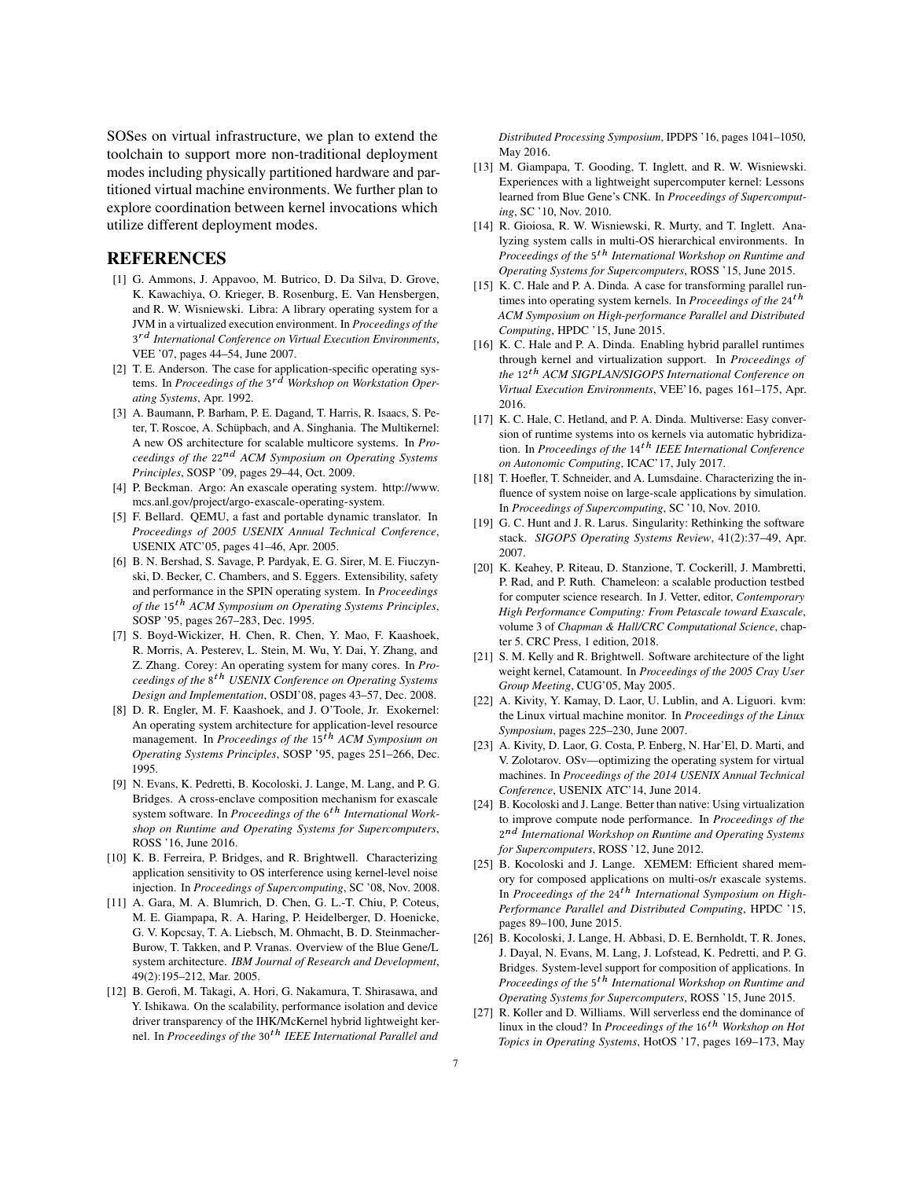SOSes on virtual infrastructure, we plan to extend the toolchain to support more non-traditional deployment modes including physically partitioned hardware and partitioned virtual machine environments. We further plan to explore coordination between kernel invocations which utilize different deployment modes.

### REFERENCES

- <span id="page-6-8"></span>[1] G. Ammons, J. Appavoo, M. Butrico, D. Da Silva, D. Grove, K. Kawachiya, O. Krieger, B. Rosenburg, E. Van Hensbergen, and R. W. Wisniewski. Libra: A library operating system for a JVM in a virtualized execution environment. In *Proceedings of the* 3 r d *International Conference on Virtual Execution Environments*, VEE '07, pages 44–54, June 2007.
- <span id="page-6-3"></span>[2] T. E. Anderson. The case for application-specific operating systems. In *Proceedings of the* 3<sup>rd</sup> Workshop on Workstation Oper*ating Systems*, Apr. 1992.
- <span id="page-6-12"></span>[3] A. Baumann, P. Barham, P. E. Dagand, T. Harris, R. Isaacs, S. Peter, T. Roscoe, A. Schüpbach, and A. Singhania. The Multikernel: A new OS architecture for scalable multicore systems. In *Proceedings of the* 22nd *ACM Symposium on Operating Systems Principles*, SOSP '09, pages 29–44, Oct. 2009.
- <span id="page-6-16"></span>[4] P. Beckman. Argo: An exascale operating system. [http://www.](http://www.mcs.anl.gov/project/argo-exascale-operating-system) [mcs.anl.gov/project/argo-exascale-operating-system.](http://www.mcs.anl.gov/project/argo-exascale-operating-system)
- <span id="page-6-19"></span>[5] F. Bellard. QEMU, a fast and portable dynamic translator. In *Proceedings of 2005 USENIX Annual Technical Conference*, USENIX ATC'05, pages 41–46, Apr. 2005.
- <span id="page-6-4"></span>[6] B. N. Bershad, S. Savage, P. Pardyak, E. G. Sirer, M. E. Fiuczynski, D. Becker, C. Chambers, and S. Eggers. Extensibility, safety and performance in the SPIN operating system. In *Proceedings of the* 15th *ACM Symposium on Operating Systems Principles*, SOSP '95, pages 267–283, Dec. 1995.
- <span id="page-6-13"></span>[7] S. Boyd-Wickizer, H. Chen, R. Chen, Y. Mao, F. Kaashoek, R. Morris, A. Pesterev, L. Stein, M. Wu, Y. Dai, Y. Zhang, and Z. Zhang. Corey: An operating system for many cores. In *Proceedings of the* 8 th *USENIX Conference on Operating Systems Design and Implementation*, OSDI'08, pages 43–57, Dec. 2008.
- <span id="page-6-5"></span>[8] D. R. Engler, M. F. Kaashoek, and J. O'Toole, Jr. Exokernel: An operating system architecture for application-level resource management. In *Proceedings of the* 15th *ACM Symposium on Operating Systems Principles*, SOSP '95, pages 251–266, Dec. 1995.
- <span id="page-6-24"></span>[9] N. Evans, K. Pedretti, B. Kocoloski, J. Lange, M. Lang, and P. G. Bridges. A cross-enclave composition mechanism for exascale system software. In *Proceedings of the* 6<sup>th</sup> International Work*shop on Runtime and Operating Systems for Supercomputers*, ROSS '16, June 2016.
- <span id="page-6-0"></span>[10] K. B. Ferreira, P. Bridges, and R. Brightwell. Characterizing application sensitivity to OS interference using kernel-level noise injection. In *Proceedings of Supercomputing*, SC '08, Nov. 2008.
- <span id="page-6-26"></span>[11] A. Gara, M. A. Blumrich, D. Chen, G. L.-T. Chiu, P. Coteus, M. E. Giampapa, R. A. Haring, P. Heidelberger, D. Hoenicke, G. V. Kopcsay, T. A. Liebsch, M. Ohmacht, B. D. Steinmacher-Burow, T. Takken, and P. Vranas. Overview of the Blue Gene/L system architecture. *IBM Journal of Research and Development*, 49(2):195–212, Mar. 2005.
- <span id="page-6-17"></span>[12] B. Gerofi, M. Takagi, A. Hori, G. Nakamura, T. Shirasawa, and Y. Ishikawa. On the scalability, performance isolation and device driver transparency of the IHK/McKernel hybrid lightweight kernel. In *Proceedings of the* 30th *IEEE International Parallel and*

*Distributed Processing Symposium*, IPDPS '16, pages 1041–1050, May 2016.

- <span id="page-6-14"></span>[13] M. Giampapa, T. Gooding, T. Inglett, and R. W. Wisniewski. Experiences with a lightweight supercomputer kernel: Lessons learned from Blue Gene's CNK. In *Proceedings of Supercomputing*, SC '10, Nov. 2010.
- <span id="page-6-22"></span>[14] R. Gioiosa, R. W. Wisniewski, R. Murty, and T. Inglett. Analyzing system calls in multi-OS hierarchical environments. In *Proceedings of the* 5 th *International Workshop on Runtime and Operating Systems for Supercomputers*, ROSS '15, June 2015.
- <span id="page-6-9"></span>[15] K. C. Hale and P. A. Dinda. A case for transforming parallel runtimes into operating system kernels. In *Proceedings of the* 24th *ACM Symposium on High-performance Parallel and Distributed Computing*, HPDC '15, June 2015.
- <span id="page-6-10"></span>[16] K. C. Hale and P. A. Dinda. Enabling hybrid parallel runtimes through kernel and virtualization support. In *Proceedings of the* 12th *ACM SIGPLAN/SIGOPS International Conference on Virtual Execution Environments*, VEE'16, pages 161–175, Apr. 2016.
- <span id="page-6-21"></span>[17] K. C. Hale, C. Hetland, and P. A. Dinda. Multiverse: Easy conversion of runtime systems into os kernels via automatic hybridization. In *Proceedings of the* 14th *IEEE International Conference on Autonomic Computing*, ICAC'17, July 2017.
- <span id="page-6-1"></span>[18] T. Hoefler, T. Schneider, and A. Lumsdaine. Characterizing the influence of system noise on large-scale applications by simulation. In *Proceedings of Supercomputing*, SC '10, Nov. 2010.
- <span id="page-6-11"></span>[19] G. C. Hunt and J. R. Larus. Singularity: Rethinking the software stack. *SIGOPS Operating Systems Review*, 41(2):37–49, Apr. 2007.
- <span id="page-6-6"></span>[20] K. Keahey, P. Riteau, D. Stanzione, T. Cockerill, J. Mambretti, P. Rad, and P. Ruth. Chameleon: a scalable production testbed for computer science research. In J. Vetter, editor, *Contemporary High Performance Computing: From Petascale toward Exascale*, volume 3 of *Chapman & Hall/CRC Computational Science*, chapter 5. CRC Press, 1 edition, 2018.
- <span id="page-6-15"></span>[21] S. M. Kelly and R. Brightwell. Software architecture of the light weight kernel, Catamount. In *Proceedings of the 2005 Cray User Group Meeting*, CUG'05, May 2005.
- <span id="page-6-20"></span>[22] A. Kivity, Y. Kamay, D. Laor, U. Lublin, and A. Liguori. kvm: the Linux virtual machine monitor. In *Proceedings of the Linux Symposium*, pages 225–230, June 2007.
- <span id="page-6-7"></span>[23] A. Kivity, D. Laor, G. Costa, P. Enberg, N. Har'El, D. Marti, and V. Zolotarov. OSv—optimizing the operating system for virtual machines. In *Proceedings of the 2014 USENIX Annual Technical Conference*, USENIX ATC'14, June 2014.
- <span id="page-6-18"></span>[24] B. Kocoloski and J. Lange. Better than native: Using virtualization to improve compute node performance. In *Proceedings of the* 2 nd *International Workshop on Runtime and Operating Systems for Supercomputers*, ROSS '12, June 2012.
- <span id="page-6-23"></span>[25] B. Kocoloski and J. Lange. XEMEM: Efficient shared memory for composed applications on multi-os/r exascale systems. In *Proceedings of the* 24th *International Symposium on High-Performance Parallel and Distributed Computing*, HPDC '15, pages 89–100, June 2015.
- <span id="page-6-25"></span>[26] B. Kocoloski, J. Lange, H. Abbasi, D. E. Bernholdt, T. R. Jones, J. Dayal, N. Evans, M. Lang, J. Lofstead, K. Pedretti, and P. G. Bridges. System-level support for composition of applications. In *Proceedings of the* 5 th *International Workshop on Runtime and Operating Systems for Supercomputers*, ROSS '15, June 2015.
- <span id="page-6-2"></span>[27] R. Koller and D. Williams. Will serverless end the dominance of linux in the cloud? In *Proceedings of the* 16<sup>th</sup> *Workshop on Hot Topics in Operating Systems*, HotOS '17, pages 169–173, May